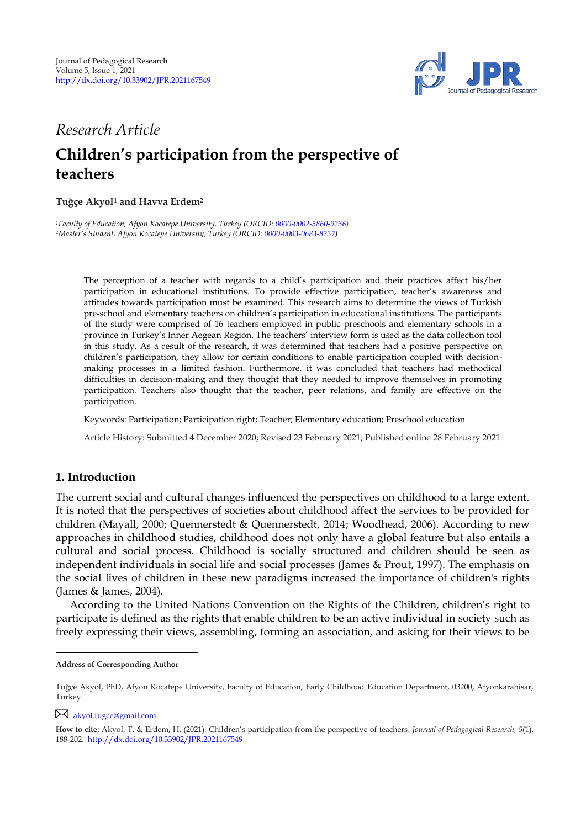

## *Research Article*

# **Children's participation from the perspective of teachers**

#### **Tuğçe Akyol<sup>1</sup> and Havva Erdem<sup>2</sup> <sup>1</sup>**

*<sup>1</sup>Faculty of Education, Afyon Kocatepe University, Turkey (ORCID: [0000-0002-5860-9236\)](https://orcid.org/0000-0002-5860-9236) <sup>2</sup>Master's Student, Afyon Kocatepe University, Turkey (ORCID[: 0000-0003-0683-8237\)](http://www.orcid.org/0000-0003-0683-8237)* 

The perception of a teacher with regards to a child"s participation and their practices affect his/her participation in educational institutions. To provide effective participation, teacher"s awareness and attitudes towards participation must be examined. This research aims to determine the views of Turkish pre-school and elementary teachers on children"s participation in educational institutions. The participants of the study were comprised of 16 teachers employed in public preschools and elementary schools in a province in Turkey"s Inner Aegean Region. The teachers" interview form is used as the data collection tool in this study. As a result of the research, it was determined that teachers had a positive perspective on children"s participation, they allow for certain conditions to enable participation coupled with decisionmaking processes in a limited fashion. Furthermore, it was concluded that teachers had methodical difficulties in decision-making and they thought that they needed to improve themselves in promoting participation. Teachers also thought that the teacher, peer relations, and family are effective on the participation.

Keywords: Participation; Participation right; Teacher; Elementary education; Preschool education

Article History: Submitted 4 December 2020; Revised 23 February 2021; Published online 28 February 2021

### **1. Introduction**

The current social and cultural changes influenced the perspectives on childhood to a large extent. It is noted that the perspectives of societies about childhood affect the services to be provided for children (Mayall, 2000; Quennerstedt & Quennerstedt, 2014; Woodhead, 2006). According to new approaches in childhood studies, childhood does not only have a global feature but also entails a cultural and social process. Childhood is socially structured and children should be seen as independent individuals in social life and social processes (James & Prout, 1997). The emphasis on the social lives of children in these new paradigms increased the importance of children's rights (James & James, 2004).

According to the United Nations Convention on the Rights of the Children, children"s right to participate is defined as the rights that enable children to be an active individual in society such as freely expressing their views, assembling, forming an association, and asking for their views to be

[akyol.tugce@gmail.com](mailto:akyol.tugce@gmail.com)

**Address of Corresponding Author**

Tuğçe Akyol, PhD, Afyon Kocatepe University, Faculty of Education, Early Childhood Education Department, 03200, Afyonkarahisar, Turkey.

**How to cite:** Akyol, T. & Erdem, H. (2021). Children"s participation from the perspective of teachers. *Journal of Pedagogical Research, 5*(1), 188-202. <http://dx.doi.org/10.33902/JPR.2021167549>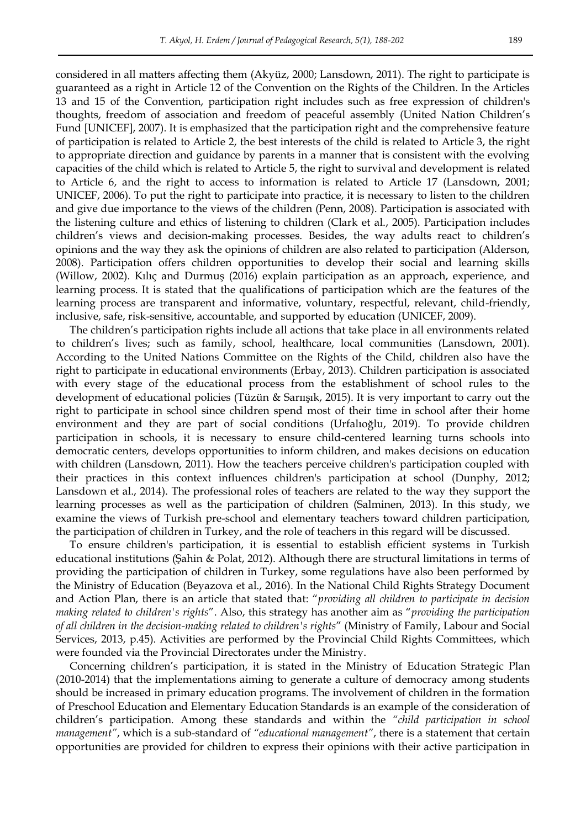considered in all matters affecting them (Akyüz, 2000; Lansdown, 2011). The right to participate is guaranteed as a right in Article 12 of the Convention on the Rights of the Children. In the Articles 13 and 15 of the Convention, participation right includes such as free expression of children's thoughts, freedom of association and freedom of peaceful assembly (United Nation Children"s Fund [UNICEF], 2007). It is emphasized that the participation right and the comprehensive feature of participation is related to Article 2, the best interests of the child is related to Article 3, the right to appropriate direction and guidance by parents in a manner that is consistent with the evolving capacities of the child which is related to Article 5, the right to survival and development is related to Article 6, and the right to access to information is related to Article 17 (Lansdown, 2001; UNICEF, 2006). To put the right to participate into practice, it is necessary to listen to the children and give due importance to the views of the children (Penn, 2008). Participation is associated with the listening culture and ethics of listening to children (Clark et al., 2005). Participation includes children"s views and decision-making processes. Besides, the way adults react to children"s opinions and the way they ask the opinions of children are also related to participation (Alderson, 2008). Participation offers children opportunities to develop their social and learning skills (Willow, 2002). Kılıç and Durmuş (2016) explain participation as an approach, experience, and learning process. It is stated that the qualifications of participation which are the features of the learning process are transparent and informative, voluntary, respectful, relevant, child-friendly, inclusive, safe, risk-sensitive, accountable, and supported by education (UNICEF, 2009).

The children"s participation rights include all actions that take place in all environments related to children"s lives; such as family, school, healthcare, local communities (Lansdown, 2001). According to the United Nations Committee on the Rights of the Child, children also have the right to participate in educational environments (Erbay, 2013). Children participation is associated with every stage of the educational process from the establishment of school rules to the development of educational policies (Tüzün & Sarıışık, 2015). It is very important to carry out the right to participate in school since children spend most of their time in school after their home environment and they are part of social conditions (Urfalıoğlu, 2019). To provide children participation in schools, it is necessary to ensure child-centered learning turns schools into democratic centers, develops opportunities to inform children, and makes decisions on education with children (Lansdown, 2011). How the teachers perceive children's participation coupled with their practices in this context influences children's participation at school (Dunphy, 2012; Lansdown et al., 2014). The professional roles of teachers are related to the way they support the learning processes as well as the participation of children (Salminen, 2013). In this study, we examine the views of Turkish pre-school and elementary teachers toward children participation, the participation of children in Turkey, and the role of teachers in this regard will be discussed.

To ensure children's participation, it is essential to establish efficient systems in Turkish educational institutions (Şahin & Polat, 2012). Although there are structural limitations in terms of providing the participation of children in Turkey, some regulations have also been performed by the Ministry of Education (Beyazova et al., 2016). In the National Child Rights Strategy Document and Action Plan, there is an article that stated that: "*providing all children to participate in decision making related to children's rights*". Also, this strategy has another aim as "*providing the participation of all children in the decision-making related to children's rights*" (Ministry of Family, Labour and Social Services, 2013, p.45). Activities are performed by the Provincial Child Rights Committees, which were founded via the Provincial Directorates under the Ministry.

Concerning children"s participation, it is stated in the Ministry of Education Strategic Plan (2010-2014) that the implementations aiming to generate a culture of democracy among students should be increased in primary education programs. The involvement of children in the formation of Preschool Education and Elementary Education Standards is an example of the consideration of children"s participation. Among these standards and within the *"child participation in school management"*, which is a sub-standard of *"educational management"*, there is a statement that certain opportunities are provided for children to express their opinions with their active participation in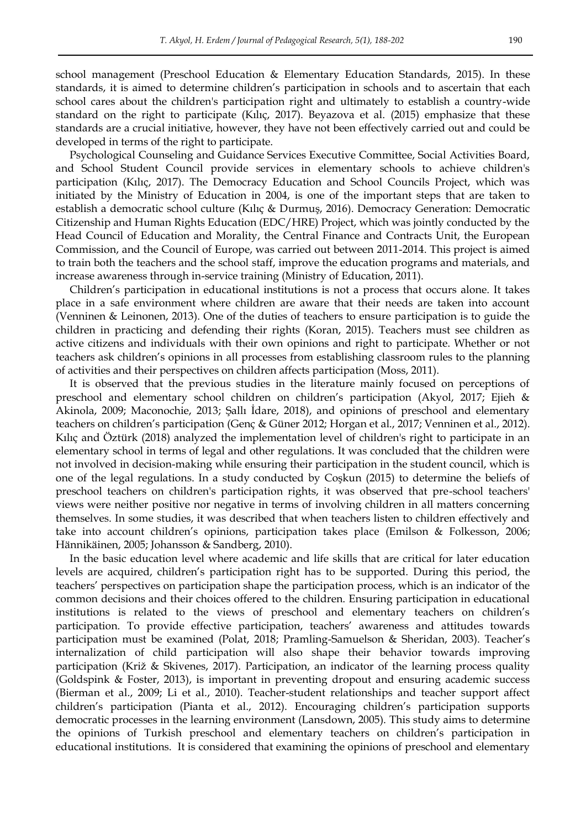school management (Preschool Education & Elementary Education Standards, 2015). In these standards, it is aimed to determine children"s participation in schools and to ascertain that each school cares about the children's participation right and ultimately to establish a country-wide standard on the right to participate (Kılıç, 2017). Beyazova et al. (2015) emphasize that these standards are a crucial initiative, however, they have not been effectively carried out and could be developed in terms of the right to participate.

Psychological Counseling and Guidance Services Executive Committee, Social Activities Board, and School Student Council provide services in elementary schools to achieve children's participation (Kılıç, 2017). The Democracy Education and School Councils Project, which was initiated by the Ministry of Education in 2004, is one of the important steps that are taken to establish a democratic school culture (Kılıç & Durmuş, 2016). Democracy Generation: Democratic Citizenship and Human Rights Education (EDC/HRE) Project, which was jointly conducted by the Head Council of Education and Morality, the Central Finance and Contracts Unit, the European Commission, and the Council of Europe, was carried out between 2011-2014. This project is aimed to train both the teachers and the school staff, improve the education programs and materials, and increase awareness through in-service training (Ministry of Education, 2011).

Children"s participation in educational institutions is not a process that occurs alone. It takes place in a safe environment where children are aware that their needs are taken into account (Venninen & Leinonen, 2013). One of the duties of teachers to ensure participation is to guide the children in practicing and defending their rights (Koran, 2015). Teachers must see children as active citizens and individuals with their own opinions and right to participate. Whether or not teachers ask children"s opinions in all processes from establishing classroom rules to the planning of activities and their perspectives on children affects participation (Moss, 2011).

It is observed that the previous studies in the literature mainly focused on perceptions of preschool and elementary school children on children"s participation (Akyol, 2017; Ejieh & Akinola, 2009; Maconochie, 2013; Şallı İdare, 2018), and opinions of preschool and elementary teachers on children"s participation (Genç & Güner 2012; Horgan et al., 2017; Venninen et al., 2012). Kılıç and Öztürk (2018) analyzed the implementation level of children's right to participate in an elementary school in terms of legal and other regulations. It was concluded that the children were not involved in decision-making while ensuring their participation in the student council, which is one of the legal regulations. In a study conducted by Coşkun (2015) to determine the beliefs of preschool teachers on children's participation rights, it was observed that pre-school teachers' views were neither positive nor negative in terms of involving children in all matters concerning themselves. In some studies, it was described that when teachers listen to children effectively and take into account children"s opinions, participation takes place (Emilson & Folkesson, 2006; Hännikäinen, 2005; Johansson & Sandberg, 2010).

In the basic education level where academic and life skills that are critical for later education levels are acquired, children"s participation right has to be supported. During this period, the teachers" perspectives on participation shape the participation process, which is an indicator of the common decisions and their choices offered to the children. Ensuring participation in educational institutions is related to the views of preschool and elementary teachers on children"s participation. To provide effective participation, teachers" awareness and attitudes towards participation must be examined (Polat, 2018; Pramling-Samuelson & Sheridan, 2003). Teacher"s internalization of child participation will also shape their behavior towards improving participation (Križ & Skivenes, 2017). Participation, an indicator of the learning process quality (Goldspink & Foster, 2013), is important in preventing dropout and ensuring academic success (Bierman et al., 2009; Li et al., 2010). Teacher-student relationships and teacher support affect children"s participation (Pianta et al., 2012). Encouraging children"s participation supports democratic processes in the learning environment (Lansdown, 2005). This study aims to determine the opinions of Turkish preschool and elementary teachers on children"s participation in educational institutions. It is considered that examining the opinions of preschool and elementary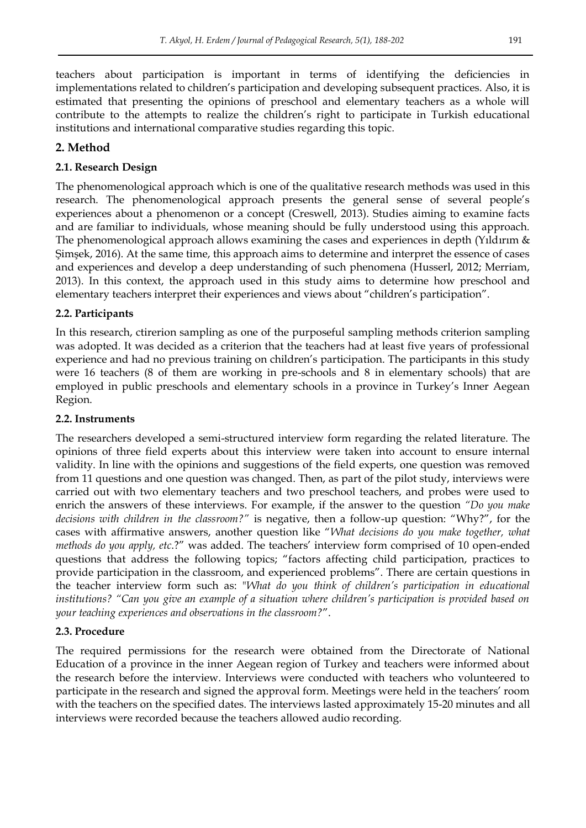teachers about participation is important in terms of identifying the deficiencies in implementations related to children"s participation and developing subsequent practices. Also, it is estimated that presenting the opinions of preschool and elementary teachers as a whole will contribute to the attempts to realize the children"s right to participate in Turkish educational institutions and international comparative studies regarding this topic.

### **2. Method**

### **2.1. Research Design**

The phenomenological approach which is one of the qualitative research methods was used in this research. The phenomenological approach presents the general sense of several people"s experiences about a phenomenon or a concept (Creswell, 2013). Studies aiming to examine facts and are familiar to individuals, whose meaning should be fully understood using this approach. The phenomenological approach allows examining the cases and experiences in depth (Yıldırım & Şimşek, 2016). At the same time, this approach aims to determine and interpret the essence of cases and experiences and develop a deep understanding of such phenomena (Husserl, 2012; Merriam, 2013). In this context, the approach used in this study aims to determine how preschool and elementary teachers interpret their experiences and views about "children"s participation".

### **2.2. Participants**

In this research, ctirerion sampling as one of the purposeful sampling methods criterion sampling was adopted. It was decided as a criterion that the teachers had at least five years of professional experience and had no previous training on children"s participation. The participants in this study were 16 teachers (8 of them are working in pre-schools and 8 in elementary schools) that are employed in public preschools and elementary schools in a province in Turkey"s Inner Aegean Region.

### **2.2. Instruments**

The researchers developed a semi-structured interview form regarding the related literature. The opinions of three field experts about this interview were taken into account to ensure internal validity. In line with the opinions and suggestions of the field experts, one question was removed from 11 questions and one question was changed. Then, as part of the pilot study, interviews were carried out with two elementary teachers and two preschool teachers, and probes were used to enrich the answers of these interviews. For example, if the answer to the question *"Do you make decisions with children in the classroom?"* is negative, then a follow-up question: "Why?", for the cases with affirmative answers, another question like "*What decisions do you make together, what methods do you apply, etc*.?" was added. The teachers" interview form comprised of 10 open-ended questions that address the following topics; "factors affecting child participation, practices to provide participation in the classroom, and experienced problems". There are certain questions in the teacher interview form such as: "*What do you think of children's participation in educational institutions? "Can you give an example of a situation where children's participation is provided based on your teaching experiences and observations in the classroom?*".

### **2.3. Procedure**

The required permissions for the research were obtained from the Directorate of National Education of a province in the inner Aegean region of Turkey and teachers were informed about the research before the interview. Interviews were conducted with teachers who volunteered to participate in the research and signed the approval form. Meetings were held in the teachers" room with the teachers on the specified dates. The interviews lasted approximately 15-20 minutes and all interviews were recorded because the teachers allowed audio recording.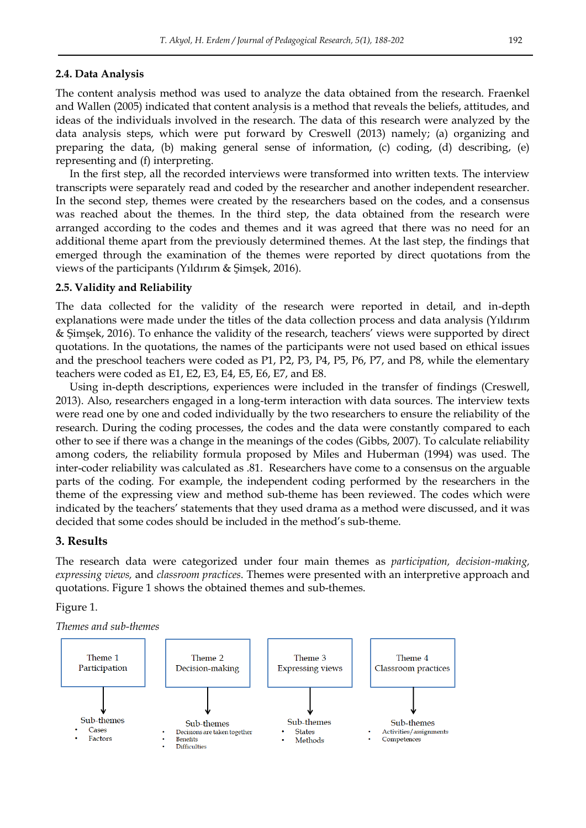#### **2.4. Data Analysis**

The content analysis method was used to analyze the data obtained from the research. Fraenkel and Wallen (2005) indicated that content analysis is a method that reveals the beliefs, attitudes, and ideas of the individuals involved in the research. The data of this research were analyzed by the data analysis steps, which were put forward by Creswell (2013) namely; (a) organizing and preparing the data, (b) making general sense of information, (c) coding, (d) describing, (e) representing and (f) interpreting.

In the first step, all the recorded interviews were transformed into written texts. The interview transcripts were separately read and coded by the researcher and another independent researcher. In the second step, themes were created by the researchers based on the codes, and a consensus was reached about the themes. In the third step, the data obtained from the research were arranged according to the codes and themes and it was agreed that there was no need for an additional theme apart from the previously determined themes. At the last step, the findings that emerged through the examination of the themes were reported by direct quotations from the views of the participants (Yıldırım & Şimşek, 2016).

#### **2.5. Validity and Reliability**

The data collected for the validity of the research were reported in detail, and in-depth explanations were made under the titles of the data collection process and data analysis (Yıldırım & Şimşek, 2016). To enhance the validity of the research, teachers" views were supported by direct quotations. In the quotations, the names of the participants were not used based on ethical issues and the preschool teachers were coded as P1, P2, P3, P4, P5, P6, P7, and P8, while the elementary teachers were coded as E1, E2, E3, E4, E5, E6, E7, and E8.

Using in-depth descriptions, experiences were included in the transfer of findings (Creswell, 2013). Also, researchers engaged in a long-term interaction with data sources. The interview texts were read one by one and coded individually by the two researchers to ensure the reliability of the research. During the coding processes, the codes and the data were constantly compared to each other to see if there was a change in the meanings of the codes (Gibbs, 2007). To calculate reliability among coders, the reliability formula proposed by Miles and Huberman (1994) was used. The inter-coder reliability was calculated as .81. Researchers have come to a consensus on the arguable parts of the coding. For example, the independent coding performed by the researchers in the theme of the expressing view and method sub-theme has been reviewed. The codes which were indicated by the teachers" statements that they used drama as a method were discussed, and it was decided that some codes should be included in the method"s sub-theme.

#### **3. Results**

The research data were categorized under four main themes as *participation, decision-making, expressing views,* and *classroom practices*. Themes were presented with an interpretive approach and quotations. Figure 1 shows the obtained themes and sub-themes.

#### Figure 1.

*Themes and sub-themes* 

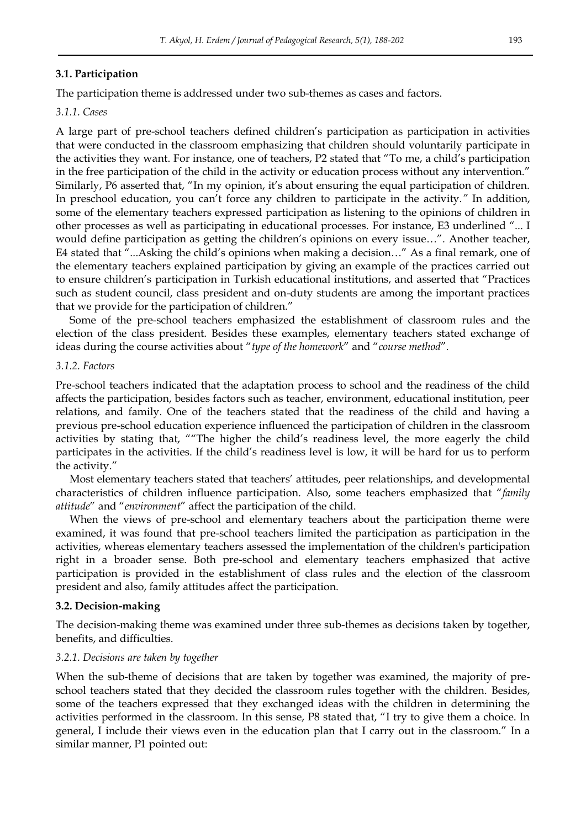### **3.1. Participation**

The participation theme is addressed under two sub-themes as cases and factors.

### *3.1.1. Cases*

A large part of pre-school teachers defined children"s participation as participation in activities that were conducted in the classroom emphasizing that children should voluntarily participate in the activities they want. For instance, one of teachers, P2 stated that "To me, a child"s participation in the free participation of the child in the activity or education process without any intervention." Similarly, P6 asserted that, "In my opinion, it"s about ensuring the equal participation of children. In preschool education, you can"t force any children to participate in the activity.*"* In addition, some of the elementary teachers expressed participation as listening to the opinions of children in other processes as well as participating in educational processes. For instance, E3 underlined "... I would define participation as getting the children"s opinions on every issue…". Another teacher, E4 stated that "...Asking the child"s opinions when making a decision…" As a final remark, one of the elementary teachers explained participation by giving an example of the practices carried out to ensure children"s participation in Turkish educational institutions, and asserted that "Practices such as student council, class president and on-duty students are among the important practices that we provide for the participation of children."

Some of the pre-school teachers emphasized the establishment of classroom rules and the election of the class president. Besides these examples, elementary teachers stated exchange of ideas during the course activities about "*type of the homework*" and "*course method*"*.*

### *3.1.2. Factors*

Pre-school teachers indicated that the adaptation process to school and the readiness of the child affects the participation, besides factors such as teacher, environment, educational institution, peer relations, and family. One of the teachers stated that the readiness of the child and having a previous pre-school education experience influenced the participation of children in the classroom activities by stating that, ""The higher the child"s readiness level, the more eagerly the child participates in the activities. If the child"s readiness level is low, it will be hard for us to perform the activity."

Most elementary teachers stated that teachers" attitudes, peer relationships, and developmental characteristics of children influence participation. Also, some teachers emphasized that "*family attitude*" and "*environment*" affect the participation of the child.

When the views of pre-school and elementary teachers about the participation theme were examined, it was found that pre-school teachers limited the participation as participation in the activities, whereas elementary teachers assessed the implementation of the children's participation right in a broader sense. Both pre-school and elementary teachers emphasized that active participation is provided in the establishment of class rules and the election of the classroom president and also, family attitudes affect the participation.

### **3.2. Decision-making**

The decision-making theme was examined under three sub-themes as decisions taken by together, benefits, and difficulties.

#### *3.2.1. Decisions are taken by together*

When the sub-theme of decisions that are taken by together was examined, the majority of preschool teachers stated that they decided the classroom rules together with the children. Besides, some of the teachers expressed that they exchanged ideas with the children in determining the activities performed in the classroom. In this sense, P8 stated that, "I try to give them a choice. In general, I include their views even in the education plan that I carry out in the classroom." In a similar manner, P1 pointed out: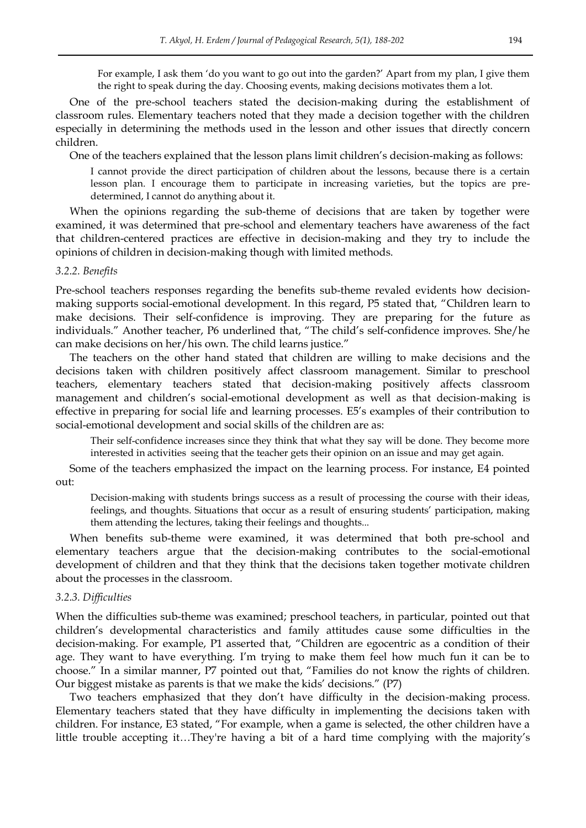For example, I ask them "do you want to go out into the garden?" Apart from my plan, I give them the right to speak during the day. Choosing events, making decisions motivates them a lot.

One of the pre-school teachers stated the decision-making during the establishment of classroom rules. Elementary teachers noted that they made a decision together with the children especially in determining the methods used in the lesson and other issues that directly concern children.

One of the teachers explained that the lesson plans limit children"s decision-making as follows:

I cannot provide the direct participation of children about the lessons, because there is a certain lesson plan. I encourage them to participate in increasing varieties, but the topics are predetermined, I cannot do anything about it.

When the opinions regarding the sub-theme of decisions that are taken by together were examined, it was determined that pre-school and elementary teachers have awareness of the fact that children-centered practices are effective in decision-making and they try to include the opinions of children in decision-making though with limited methods.

#### *3.2.2. Benefits*

Pre-school teachers responses regarding the benefits sub-theme revaled evidents how decisionmaking supports social-emotional development. In this regard, P5 stated that, "Children learn to make decisions. Their self-confidence is improving. They are preparing for the future as individuals." Another teacher, P6 underlined that, "The child"s self-confidence improves. She/he can make decisions on her/his own. The child learns justice."

The teachers on the other hand stated that children are willing to make decisions and the decisions taken with children positively affect classroom management. Similar to preschool teachers, elementary teachers stated that decision-making positively affects classroom management and children"s social-emotional development as well as that decision-making is effective in preparing for social life and learning processes. E5"s examples of their contribution to social-emotional development and social skills of the children are as:

Their self-confidence increases since they think that what they say will be done. They become more interested in activities seeing that the teacher gets their opinion on an issue and may get again.

Some of the teachers emphasized the impact on the learning process. For instance, E4 pointed out:

Decision-making with students brings success as a result of processing the course with their ideas, feelings, and thoughts. Situations that occur as a result of ensuring students" participation, making them attending the lectures, taking their feelings and thoughts...

When benefits sub-theme were examined, it was determined that both pre-school and elementary teachers argue that the decision-making contributes to the social-emotional development of children and that they think that the decisions taken together motivate children about the processes in the classroom.

#### *3.2.3. Difficulties*

When the difficulties sub-theme was examined; preschool teachers, in particular, pointed out that children"s developmental characteristics and family attitudes cause some difficulties in the decision-making. For example, P1 asserted that, "Children are egocentric as a condition of their age. They want to have everything. I"m trying to make them feel how much fun it can be to choose." In a similar manner, P7 pointed out that, "Families do not know the rights of children. Our biggest mistake as parents is that we make the kids" decisions." (P7)

Two teachers emphasized that they don't have difficulty in the decision-making process. Elementary teachers stated that they have difficulty in implementing the decisions taken with children. For instance, E3 stated, "For example, when a game is selected, the other children have a little trouble accepting it...They're having a bit of a hard time complying with the majority's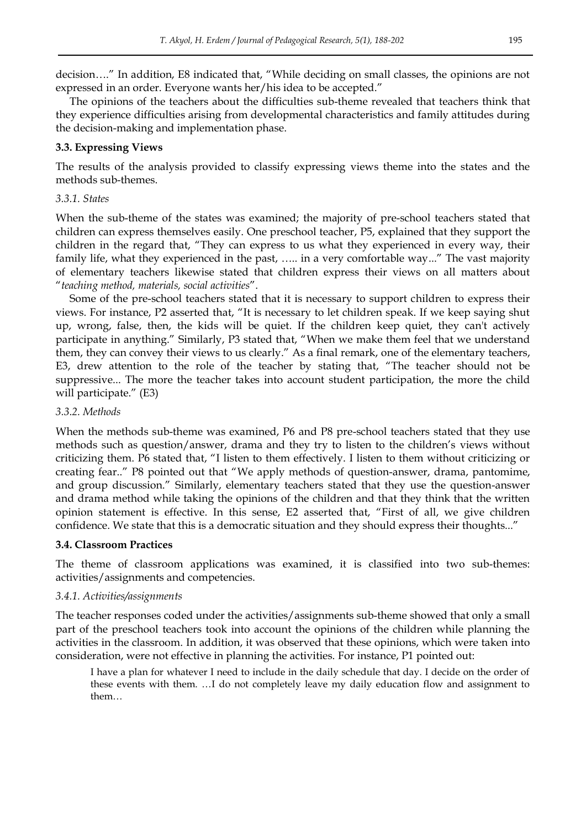decision…." In addition, E8 indicated that, "While deciding on small classes, the opinions are not expressed in an order. Everyone wants her/his idea to be accepted."

The opinions of the teachers about the difficulties sub-theme revealed that teachers think that they experience difficulties arising from developmental characteristics and family attitudes during the decision-making and implementation phase.

### **3.3. Expressing Views**

The results of the analysis provided to classify expressing views theme into the states and the methods sub-themes.

### *3.3.1. States*

When the sub-theme of the states was examined; the majority of pre-school teachers stated that children can express themselves easily. One preschool teacher, P5, explained that they support the children in the regard that, "They can express to us what they experienced in every way, their family life, what they experienced in the past, ….. in a very comfortable way..." The vast majority of elementary teachers likewise stated that children express their views on all matters about "*teaching method, materials, social activities*".

Some of the pre-school teachers stated that it is necessary to support children to express their views. For instance, P2 asserted that, "It is necessary to let children speak. If we keep saying shut up, wrong, false, then, the kids will be quiet. If the children keep quiet, they can't actively participate in anything." Similarly, P3 stated that, "When we make them feel that we understand them, they can convey their views to us clearly." As a final remark, one of the elementary teachers, E3, drew attention to the role of the teacher by stating that, "The teacher should not be suppressive... The more the teacher takes into account student participation, the more the child will participate." (E3)

### *3.3.2. Methods*

When the methods sub-theme was examined, P6 and P8 pre-school teachers stated that they use methods such as question/answer, drama and they try to listen to the children"s views without criticizing them. P6 stated that, "I listen to them effectively. I listen to them without criticizing or creating fear.." P8 pointed out that "We apply methods of question-answer, drama, pantomime, and group discussion." Similarly, elementary teachers stated that they use the question-answer and drama method while taking the opinions of the children and that they think that the written opinion statement is effective. In this sense, E2 asserted that, "First of all, we give children confidence. We state that this is a democratic situation and they should express their thoughts..."

### **3.4. Classroom Practices**

The theme of classroom applications was examined, it is classified into two sub-themes: activities/assignments and competencies.

#### *3.4.1. Activities/assignments*

The teacher responses coded under the activities/assignments sub-theme showed that only a small part of the preschool teachers took into account the opinions of the children while planning the activities in the classroom. In addition, it was observed that these opinions, which were taken into consideration, were not effective in planning the activities. For instance, P1 pointed out:

I have a plan for whatever I need to include in the daily schedule that day. I decide on the order of these events with them. …I do not completely leave my daily education flow and assignment to them…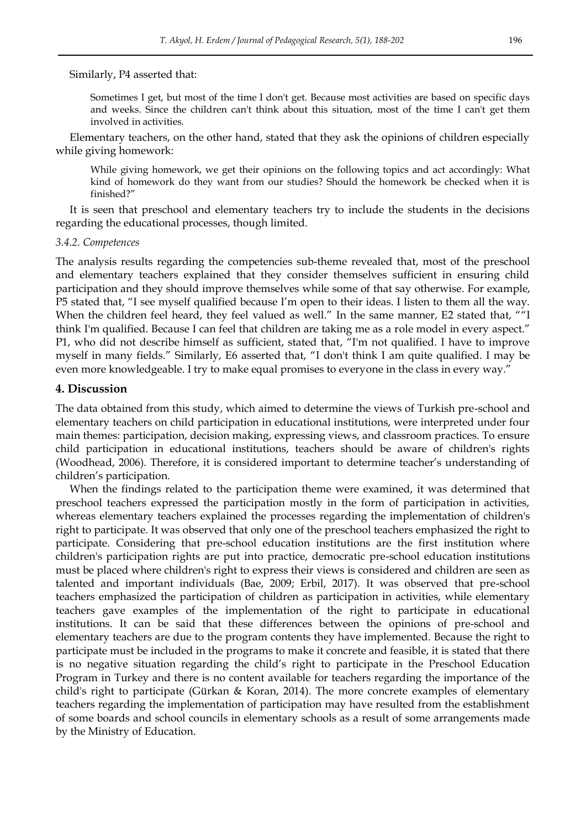#### Similarly, P4 asserted that:

Sometimes I get, but most of the time I don't get. Because most activities are based on specific days and weeks. Since the children can't think about this situation, most of the time I can't get them involved in activities.

Elementary teachers, on the other hand, stated that they ask the opinions of children especially while giving homework:

While giving homework, we get their opinions on the following topics and act accordingly: What kind of homework do they want from our studies? Should the homework be checked when it is finished?"

It is seen that preschool and elementary teachers try to include the students in the decisions regarding the educational processes, though limited.

#### *3.4.2. Competences*

The analysis results regarding the competencies sub-theme revealed that, most of the preschool and elementary teachers explained that they consider themselves sufficient in ensuring child participation and they should improve themselves while some of that say otherwise. For example, P5 stated that, "I see myself qualified because I"m open to their ideas. I listen to them all the way. When the children feel heard, they feel valued as well." In the same manner, E2 stated that, ""I think I'm qualified. Because I can feel that children are taking me as a role model in every aspect." P1, who did not describe himself as sufficient, stated that, "I'm not qualified. I have to improve myself in many fields." Similarly, E6 asserted that, "I don't think I am quite qualified. I may be even more knowledgeable. I try to make equal promises to everyone in the class in every way."

#### **4. Discussion**

The data obtained from this study, which aimed to determine the views of Turkish pre-school and elementary teachers on child participation in educational institutions, were interpreted under four main themes: participation, decision making, expressing views, and classroom practices. To ensure child participation in educational institutions, teachers should be aware of children's rights (Woodhead, 2006). Therefore, it is considered important to determine teacher"s understanding of children"s participation.

When the findings related to the participation theme were examined, it was determined that preschool teachers expressed the participation mostly in the form of participation in activities, whereas elementary teachers explained the processes regarding the implementation of children's right to participate. It was observed that only one of the preschool teachers emphasized the right to participate. Considering that pre-school education institutions are the first institution where children's participation rights are put into practice, democratic pre-school education institutions must be placed where children's right to express their views is considered and children are seen as talented and important individuals (Bae, 2009; Erbil, 2017). It was observed that pre-school teachers emphasized the participation of children as participation in activities, while elementary teachers gave examples of the implementation of the right to participate in educational institutions. It can be said that these differences between the opinions of pre-school and elementary teachers are due to the program contents they have implemented. Because the right to participate must be included in the programs to make it concrete and feasible, it is stated that there is no negative situation regarding the child"s right to participate in the Preschool Education Program in Turkey and there is no content available for teachers regarding the importance of the child's right to participate (Gürkan & Koran, 2014). The more concrete examples of elementary teachers regarding the implementation of participation may have resulted from the establishment of some boards and school councils in elementary schools as a result of some arrangements made by the Ministry of Education.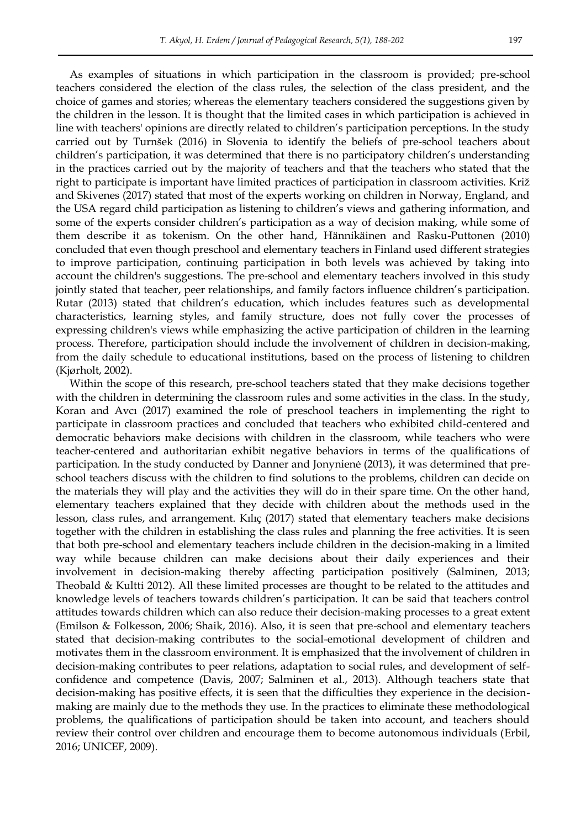As examples of situations in which participation in the classroom is provided; pre-school teachers considered the election of the class rules, the selection of the class president, and the choice of games and stories; whereas the elementary teachers considered the suggestions given by the children in the lesson. It is thought that the limited cases in which participation is achieved in line with teachers' opinions are directly related to children"s participation perceptions. In the study carried out by Turnšek (2016) in Slovenia to identify the beliefs of pre-school teachers about children's participation, it was determined that there is no participatory children's understanding in the practices carried out by the majority of teachers and that the teachers who stated that the right to participate is important have limited practices of participation in classroom activities. Križ and Skivenes (2017) stated that most of the experts working on children in Norway, England, and the USA regard child participation as listening to children"s views and gathering information, and some of the experts consider children"s participation as a way of decision making, while some of them describe it as tokenism. On the other hand, Hännikäinen and Rasku-Puttonen (2010) concluded that even though preschool and elementary teachers in Finland used different strategies to improve participation, continuing participation in both levels was achieved by taking into account the children's suggestions. The pre-school and elementary teachers involved in this study jointly stated that teacher, peer relationships, and family factors influence children"s participation. Rutar (2013) stated that children"s education, which includes features such as developmental characteristics, learning styles, and family structure, does not fully cover the processes of expressing children's views while emphasizing the active participation of children in the learning process. Therefore, participation should include the involvement of children in decision-making, from the daily schedule to educational institutions, based on the process of listening to children (Kjørholt, 2002).

Within the scope of this research, pre-school teachers stated that they make decisions together with the children in determining the classroom rules and some activities in the class. In the study, Koran and Avcı (2017) examined the role of preschool teachers in implementing the right to participate in classroom practices and concluded that teachers who exhibited child-centered and democratic behaviors make decisions with children in the classroom, while teachers who were teacher-centered and authoritarian exhibit negative behaviors in terms of the qualifications of participation. In the study conducted by Danner and Jonynienė (2013), it was determined that preschool teachers discuss with the children to find solutions to the problems, children can decide on the materials they will play and the activities they will do in their spare time. On the other hand, elementary teachers explained that they decide with children about the methods used in the lesson, class rules, and arrangement. Kılıç (2017) stated that elementary teachers make decisions together with the children in establishing the class rules and planning the free activities. It is seen that both pre-school and elementary teachers include children in the decision-making in a limited way while because children can make decisions about their daily experiences and their involvement in decision-making thereby affecting participation positively (Salminen, 2013; Theobald & Kultti 2012). All these limited processes are thought to be related to the attitudes and knowledge levels of teachers towards children"s participation. It can be said that teachers control attitudes towards children which can also reduce their decision-making processes to a great extent (Emilson & Folkesson, 2006; Shaik, 2016). Also, it is seen that pre-school and elementary teachers stated that decision-making contributes to the social-emotional development of children and motivates them in the classroom environment. It is emphasized that the involvement of children in decision-making contributes to peer relations, adaptation to social rules, and development of selfconfidence and competence (Davis, 2007; Salminen et al., 2013). Although teachers state that decision-making has positive effects, it is seen that the difficulties they experience in the decisionmaking are mainly due to the methods they use. In the practices to eliminate these methodological problems, the qualifications of participation should be taken into account, and teachers should review their control over children and encourage them to become autonomous individuals (Erbil, 2016; UNICEF, 2009).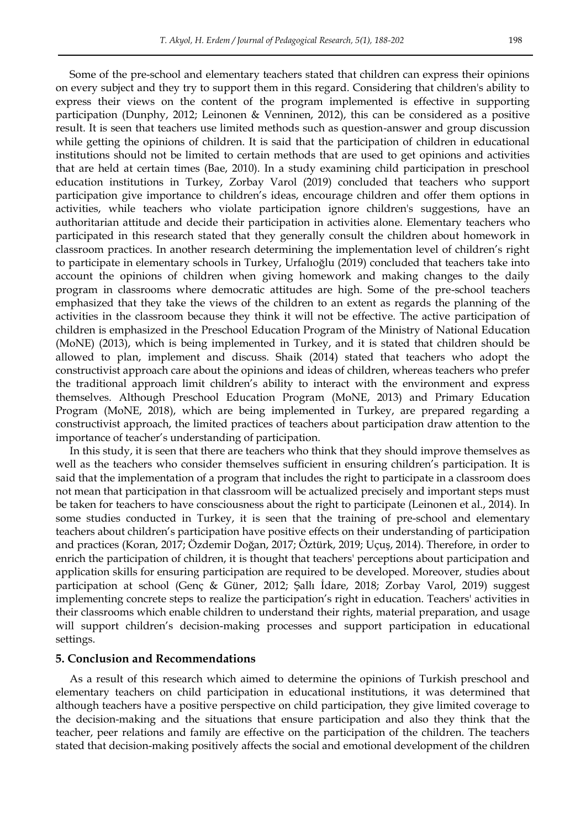Some of the pre-school and elementary teachers stated that children can express their opinions on every subject and they try to support them in this regard. Considering that children's ability to express their views on the content of the program implemented is effective in supporting participation (Dunphy, 2012; Leinonen & Venninen, 2012), this can be considered as a positive result. It is seen that teachers use limited methods such as question-answer and group discussion while getting the opinions of children. It is said that the participation of children in educational institutions should not be limited to certain methods that are used to get opinions and activities that are held at certain times (Bae, 2010). In a study examining child participation in preschool education institutions in Turkey, Zorbay Varol (2019) concluded that teachers who support participation give importance to children"s ideas, encourage children and offer them options in activities, while teachers who violate participation ignore children's suggestions, have an authoritarian attitude and decide their participation in activities alone. Elementary teachers who participated in this research stated that they generally consult the children about homework in classroom practices. In another research determining the implementation level of children"s right to participate in elementary schools in Turkey, Urfalıoğlu (2019) concluded that teachers take into account the opinions of children when giving homework and making changes to the daily program in classrooms where democratic attitudes are high. Some of the pre-school teachers emphasized that they take the views of the children to an extent as regards the planning of the activities in the classroom because they think it will not be effective. The active participation of children is emphasized in the Preschool Education Program of the Ministry of National Education (MoNE) (2013), which is being implemented in Turkey, and it is stated that children should be allowed to plan, implement and discuss. Shaik (2014) stated that teachers who adopt the constructivist approach care about the opinions and ideas of children, whereas teachers who prefer the traditional approach limit children"s ability to interact with the environment and express themselves. Although Preschool Education Program (MoNE, 2013) and Primary Education Program (MoNE, 2018), which are being implemented in Turkey, are prepared regarding a constructivist approach, the limited practices of teachers about participation draw attention to the importance of teacher"s understanding of participation.

In this study, it is seen that there are teachers who think that they should improve themselves as well as the teachers who consider themselves sufficient in ensuring children's participation. It is said that the implementation of a program that includes the right to participate in a classroom does not mean that participation in that classroom will be actualized precisely and important steps must be taken for teachers to have consciousness about the right to participate (Leinonen et al., 2014). In some studies conducted in Turkey, it is seen that the training of pre-school and elementary teachers about children"s participation have positive effects on their understanding of participation and practices (Koran, 2017; Özdemir Doğan, 2017; Öztürk, 2019; Uçuş, 2014). Therefore, in order to enrich the participation of children, it is thought that teachers' perceptions about participation and application skills for ensuring participation are required to be developed. Moreover, studies about participation at school (Genç & Güner, 2012; Şallı İdare, 2018; Zorbay Varol, 2019) suggest implementing concrete steps to realize the participation"s right in education. Teachers' activities in their classrooms which enable children to understand their rights, material preparation, and usage will support children's decision-making processes and support participation in educational settings.

#### **5. Conclusion and Recommendations**

As a result of this research which aimed to determine the opinions of Turkish preschool and elementary teachers on child participation in educational institutions, it was determined that although teachers have a positive perspective on child participation, they give limited coverage to the decision-making and the situations that ensure participation and also they think that the teacher, peer relations and family are effective on the participation of the children. The teachers stated that decision-making positively affects the social and emotional development of the children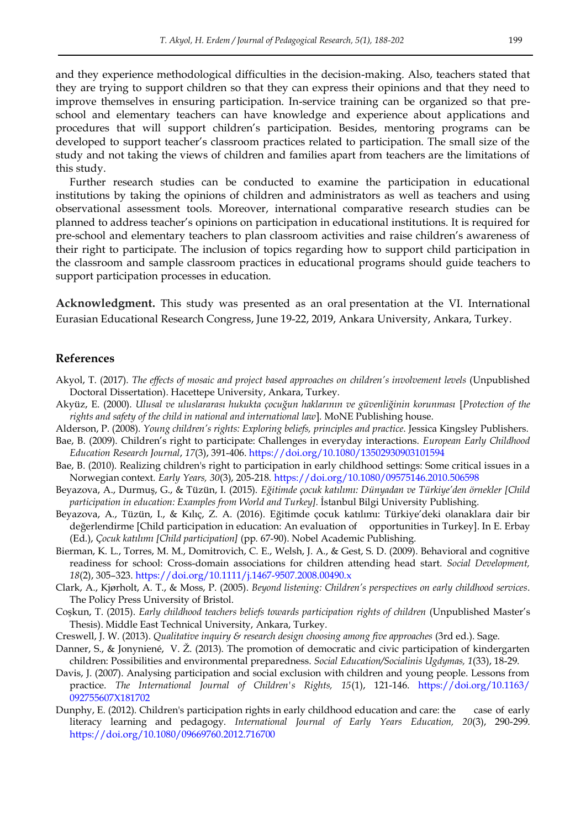and they experience methodological difficulties in the decision-making. Also, teachers stated that they are trying to support children so that they can express their opinions and that they need to improve themselves in ensuring participation. In-service training can be organized so that preschool and elementary teachers can have knowledge and experience about applications and procedures that will support children"s participation. Besides, mentoring programs can be developed to support teacher's classroom practices related to participation. The small size of the study and not taking the views of children and families apart from teachers are the limitations of this study.

Further research studies can be conducted to examine the participation in educational institutions by taking the opinions of children and administrators as well as teachers and using observational assessment tools. Moreover, international comparative research studies can be planned to address teacher"s opinions on participation in educational institutions. It is required for pre-school and elementary teachers to plan classroom activities and raise children"s awareness of their right to participate. The inclusion of topics regarding how to support child participation in the classroom and sample classroom practices in educational programs should guide teachers to support participation processes in education.

**Acknowledgment.** This study was presented as an oral presentation at the VI. International Eurasian Educational Research Congress, June 19-22, 2019, Ankara University, Ankara, Turkey.

#### **References**

- Akyol, T. (2017). *The effects of mosaic and project based approaches on children's involvement levels* (Unpublished Doctoral Dissertation). Hacettepe University, Ankara, Turkey.
- Akyüz, E. (2000). *Ulusal ve uluslararası hukukta çocuğun haklarının ve güvenliğinin korunması* [*Protection of the rights and safety of the child in national and international law*]. MoNE Publishing house.
- Alderson, P. (2008)*. Young children's rights: Exploring beliefs, principles and practice*. Jessica Kingsley Publishers.
- Bae, B. (2009). Children"s right to participate: Challenges in everyday interactions. *European Early Childhood Education Research Journal*, *17*(3), 391-406.<https://doi.org/10.1080/13502930903101594>
- Bae, B. (2010). Realizing children's right to participation in early childhood settings: Some critical issues in a Norwegian context. *Early Years, 30*(3), 205-218.<https://doi.org/10.1080/09575146.2010.506598>
- Beyazova, A., Durmuş, G., & Tüzün, I. (2015). *Eğitimde çocuk katılımı: Dünyadan ve Türkiye'den örnekler [Child participation in education: Examples from World and Turkey].* İstanbul Bilgi University Publishing.
- Beyazova, A., Tüzün, I., & Kılıç, Z. A. (2016). Eğitimde çocuk katılımı: Türkiye'deki olanaklara dair bir değerlendirme [Child participation in education: An evaluation of opportunities in Turkey]. In E. Erbay (Ed.), *Çocuk katılımı [Child participation]* (pp. 67-90). Nobel Academic Publishing.
- Bierman, K. L., Torres, M. M., Domitrovich, C. E., Welsh, J. A., & Gest, S. D. (2009). Behavioral and cognitive readiness for school: Cross-domain associations for children attending head start. *Social Development, 18*(2), 305–323[. https://doi.org/10.1111/j.1467-9507.2008.00490.x](https://doi.org/10.1111/j.1467-9507.2008.00490.x)
- Clark, A., Kjørholt, A. T., & Moss, P. (2005). *Beyond listening: Children's perspectives on early childhood services*. The Policy Press University of Bristol.
- Coşkun, T. (2015). *Early childhood teachers beliefs towards participation rights of children* (Unpublished Master"s Thesis). Middle East Technical University, Ankara, Turkey.
- Creswell, J. W. (2013). *Qualitative inquiry & research design choosing among five approaches* (3rd ed.). Sage.
- Danner, S., & Jonyniené, V. Ž. (2013). The promotion of democratic and civic participation of kindergarten children: Possibilities and environmental preparedness. *Social Education/Socialinis Ugdymas, 1*(33), 18-29.
- Davis, J. (2007). Analysing participation and social exclusion with children and young people. Lessons from practice. *The International Journal of Children's Rights, 15*(1), 121-146. [https://doi.org/10.1163/](https://doi.org/10.1163/%20092755607X181702)  [092755607X181702](https://doi.org/10.1163/%20092755607X181702)
- Dunphy, E. (2012). Children's participation rights in early childhood education and care: the case of early literacy learning and pedagogy. *International Journal of Early Years Education, 20*(3), 290-299. <https://doi.org/10.1080/09669760.2012.716700>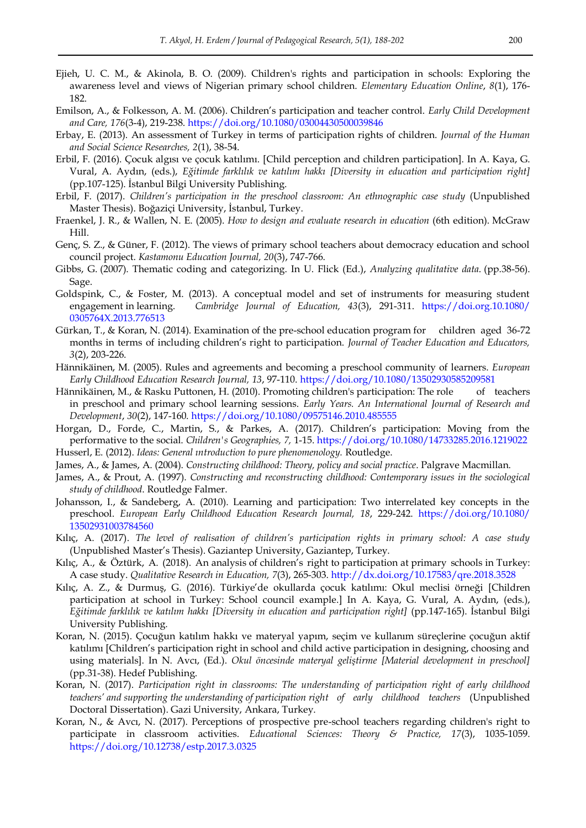- Ejieh, U. C. M., & Akinola, B. O. (2009). Children's rights and participation in schools: Exploring the awareness level and views of Nigerian primary school children. *Elementary Education Online*, *8*(1), 176- 182.
- Emilson, A., & Folkesson, A. M. (2006). Children"s participation and teacher control. *Early Child Development and Care, 176*(3-4), 219-238[. https://doi.org/10.1080/03004430500039846](https://doi.org/10.1080/03004430500039846)
- Erbay, E. (2013). An assessment of Turkey in terms of participation rights of children. *Journal of the Human and Social Science Researches, 2*(1), 38-54.
- Erbil, F. (2016). Çocuk algısı ve çocuk katılımı. [Child perception and children participation]. In A. Kaya, G. Vural, A. Aydın, (eds.), *Eğitimde farklılık ve katılım hakkı [Diversity in education and participation right]* (pp.107-125). İstanbul Bilgi University Publishing.
- Erbil, F. (2017). *Children's participation in the preschool classroom: An ethnographic case study* (Unpublished Master Thesis). Boğaziçi University, İstanbul, Turkey.
- Fraenkel, J. R., & Wallen, N. E. (2005). *How to design and evaluate research in education* (6th edition). McGraw Hill.
- Genç, S. Z., & Güner, F. (2012). The views of primary school teachers about democracy education and school council project. *Kastamonu Education Journal, 20*(3), 747-766.
- Gibbs, G. (2007). Thematic coding and categorizing. In U. Flick (Ed.), *Analyzing qualitative data*. (pp.38-56). Sage.
- Goldspink, C., & Foster, M. (2013). A conceptual model and set of instruments for measuring student engagement in learning. *Cambridge Journal of Education, 43*(3), 291-311. [https://doi.org.10.1080/](https://doi.org.10.1080/%200305764X.2013.776513)  [0305764X.2013.776513](https://doi.org.10.1080/%200305764X.2013.776513)
- Gürkan, T., & Koran, N. (2014). Examination of the pre-school education program for children aged 36-72 months in terms of including children"s right to participation. *Journal of Teacher Education and Educators, 3*(2), 203-226.
- Hännikäinen, M. (2005). Rules and agreements and becoming a preschool community of learners. *European Early Childhood Education Research Journal, 13*, 97-110[. https://doi.org/10.1080/13502930585209581](https://doi.org/10.1080/13502930585209581)
- Hännikäinen, M., & Rasku Puttonen, H. (2010). Promoting children's participation: The role of teachers in preschool and primary school learning sessions. *Early Years. An International Journal of Research and Development*, *30*(2), 147-160.<https://doi.org/10.1080/09575146.2010.485555>
- Horgan, D., Forde, C., Martin, S., & Parkes, A. (2017). Children"s participation: Moving from the performative to the social. *Children's Geographies, 7,* 1-15.<https://doi.org/10.1080/14733285.2016.1219022> Husserl, E. (2012). *Ideas: General ıntroduction to pure phenomenology.* Routledge.
- James, A., & James, A. (2004). *Constructing childhood: Theory, policy and social practice*. Palgrave Macmillan.
- James, A., & Prout, A. (1997). *Constructing and reconstructing childhood: Contemporary issues in the sociological study of childhood*. Routledge Falmer.
- Johansson, I., & Sandeberg, A. (2010). Learning and participation: Two interrelated key concepts in the preschool. *European Early Childhood Education Research Journal, 18*, 229-242. [https://doi.org/10.1080/](https://doi.org/10.1080/%2013502931003784560)  [13502931003784560](https://doi.org/10.1080/%2013502931003784560)
- Kılıç, A. (2017). *The level of realisation of children's participation rights in primary school: A case study* (Unpublished Master"s Thesis). Gaziantep University, Gaziantep, Turkey.
- Kılıç, A., & Öztürk, A. (2018). An analysis of children"s right to participation at primary schools in Turkey: A case study. *Qualitative Research in Education, 7*(3), 265-303.<http://dx.doi.org/10.17583/qre.2018.3528>
- Kılıç, A. Z., & Durmuş, G. (2016). Türkiye"de okullarda çocuk katılımı: Okul meclisi örneği [Children participation at school in Turkey: School council example.] In A. Kaya, G. Vural, A. Aydın, (eds.), *Eğitimde farklılık ve katılım hakkı [Diversity in education and participation right]* (pp.147-165). İstanbul Bilgi University Publishing.
- Koran, N. (2015). Çocuğun katılım hakkı ve materyal yapım, seçim ve kullanım süreçlerine çocuğun aktif katılımı [Children"s participation right in school and child active participation in designing, choosing and using materials]. In N. Avcı, (Ed.). *Okul öncesinde materyal geliştirme [Material development in preschool]*  (pp.31-38). Hedef Publishing.
- Koran, N. (2017). *Participation right in classrooms: The understanding of participation right of early childhood teachers' and supporting the understanding of participation right of early childhood teachers* (Unpublished Doctoral Dissertation). Gazi University, Ankara, Turkey.
- Koran, N., & Avcı, N. (2017). Perceptions of prospective pre-school teachers regarding children's right to participate in classroom activities. *Educational Sciences: Theory & Practice, 17*(3), 1035-1059. <https://doi.org/10.12738/estp.2017.3.0325>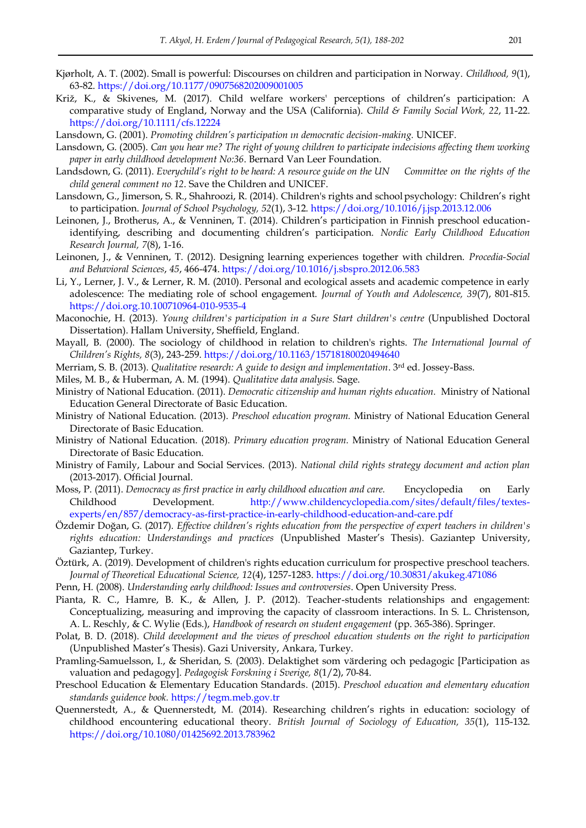- Kjørholt, A. T. (2002). Small is powerful: Discourses on children and participation in Norway. *Childhood, 9*(1), 63-82.<https://doi.org/10.1177/0907568202009001005>
- Križ, K., & Skivenes, M. (2017). Child welfare workers' perceptions of children"s participation: A comparative study of England, Norway and the USA (California). *Child & Family Social Work, 22*, 11-22. <https://doi.org/10.1111/cfs.12224>
- Lansdown, G. (2001). *Promoting children's participation ın democratic decision-making.* UNICEF.
- Lansdown, G. (2005). *Can you hear me? The right of young children to participate indecisions affecting them working paper in early childhood development No:36*. Bernard Van Leer Foundation.
- Landsdown, G. (2011). *Everychild's right to be heard: A resource guide on the UN Committee on the rights of the child general comment no 12*. Save the Children and UNICEF.
- Lansdown, G., Jimerson, S. R., Shahroozi, R. (2014). Children's rights and school psychology: Children"s right to participation. *Journal of School Psychology, 52*(1), 3-12.<https://doi.org/10.1016/j.jsp.2013.12.006>
- Leinonen, J., Brotherus, A., & Venninen, T. (2014). Children"s participation in Finnish preschool educationidentifying, describing and documenting children"s participation. *Nordic Early Childhood Education Research Journal, 7*(8), 1-16.
- Leinonen, J., & Venninen, T. (2012). Designing learning experiences together with children. *Procedia-Social and Behavioral Sciences*, *45*, 466-474[. https://doi.org/10.1016/j.sbspro.2012.06.583](https://doi.org/10.1016/j.sbspro.2012.06.583)
- Li, Y., Lerner, J. V., & Lerner, R. M. (2010). Personal and ecological assets and academic competence in early adolescence: The mediating role of school engagement. *Journal of Youth and Adolescence, 39*(7), 801-815. [https://doi.org.10.100710964-010-9535-4](https://doi.org.10.100710964-010-9535-4/)
- Maconochie, H. (2013). *Young children's participation in a Sure Start children's centre* (Unpublished Doctoral Dissertation). Hallam University, Sheffield, England.
- Mayall, B. (2000). The sociology of childhood in relation to children's rights. *The International Journal of Children's Rights, 8*(3), 243-259.<https://doi.org/10.1163/15718180020494640>
- Merriam, S. B. (2013). *Qualitative research: A guide to design and implementation*. 3rd ed. Jossey-Bass.
- Miles, M. B., & Huberman, A. M. (1994). *Qualitative data analysis.* Sage.
- Ministry of National Education. (2011). *Democratic citizenship and human rights education.* Ministry of National Education General Directorate of Basic Education.
- Ministry of National Education. (2013). *Preschool education program.* Ministry of National Education General Directorate of Basic Education.
- Ministry of National Education. (2018). *Primary education program.* Ministry of National Education General Directorate of Basic Education.
- Ministry of Family, Labour and Social Services. (2013). *National child rights strategy document and action plan*  (2013-2017). Official Journal.
- Moss, P. (2011). *Democracy as first practice in early childhood education and care.* Encyclopedia on Early Childhood Development. [http://www.childencyclopedia.com/sites/default/files/textes](http://www.childencyclopedia.com/sites/default/files/textes-experts/en/857/democracy-as-first-practice-in-early-childhood-education-and-care.pdf)[experts/en/857/democracy-as-first-practice-in-early-childhood-education-and-care.pdf](http://www.childencyclopedia.com/sites/default/files/textes-experts/en/857/democracy-as-first-practice-in-early-childhood-education-and-care.pdf)
- Özdemir Doğan, G. (2017). *Effective children's rights education from the perspective of expert teachers in children's rights education: Understandings and practices* (Unpublished Master"s Thesis). Gaziantep University, Gaziantep, Turkey.
- Öztürk, A. (2019). Development of children's rights education curriculum for prospective preschool teachers. *Journal of Theoretical Educational Science, 12*(4), 1257-1283.<https://doi.org/10.30831/akukeg.471086>
- Penn, H. (2008). *Understanding early childhood: Issues and controversies*. Open University Press.
- Pianta, R. C., Hamre, B. K., & Allen, J. P. (2012). Teacher-students relationships and engagement: Conceptualizing, measuring and improving the capacity of classroom interactions. In S. L. Christenson, A. L. Reschly, & C. Wylie (Eds.), *Handbook of research on student engagement* (pp. 365-386). Springer.
- Polat, B. D. (2018). *Child development and the views of preschool education students on the right to participation*  (Unpublished Master"s Thesis). Gazi University, Ankara, Turkey.
- Pramling-Samuelsson, I., & Sheridan, S. (2003). Delaktighet som värdering och pedagogic [Participation as valuation and pedagogy]. *Pedagogisk Forskning i Sverige, 8*(1/2), 70-84.
- Preschool Education & Elementary Education Standards. (2015). *Preschool education and elementary education standards guidence book.* [https://tegm.meb.gov.tr](https://tegm.meb.gov.tr/)
- Quennerstedt, A., & Quennerstedt, M. (2014). Researching children"s rights in education: sociology of childhood encountering educational theory. *British Journal of Sociology of Education, 35*(1), 115-132. <https://doi.org/10.1080/01425692.2013.783962>